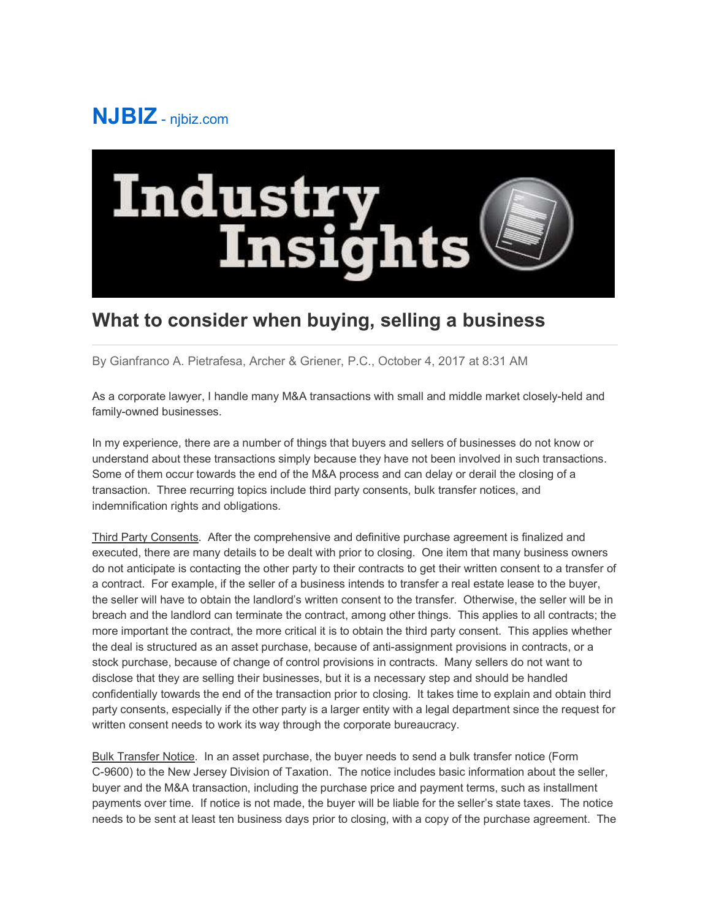## **NJBIZ** - njbiz.com



## **What to consider when buying, selling a business**

By Gianfranco A. Pietrafesa, Archer & Griener, P.C., October 4, 2017 at 8:31 AM

As a corporate lawyer, I handle many M&A transactions with small and middle market closely-held and family-owned businesses.

In my experience, there are a number of things that buyers and sellers of businesses do not know or understand about these transactions simply because they have not been involved in such transactions. Some of them occur towards the end of the M&A process and can delay or derail the closing of a transaction. Three recurring topics include third party consents, bulk transfer notices, and indemnification rights and obligations.

Third Party Consents. After the comprehensive and definitive purchase agreement is finalized and executed, there are many details to be dealt with prior to closing. One item that many business owners do not anticipate is contacting the other party to their contracts to get their written consent to a transfer of a contract. For example, if the seller of a business intends to transfer a real estate lease to the buyer, the seller will have to obtain the landlord's written consent to the transfer. Otherwise, the seller will be in breach and the landlord can terminate the contract, among other things. This applies to all contracts; the more important the contract, the more critical it is to obtain the third party consent. This applies whether the deal is structured as an asset purchase, because of anti-assignment provisions in contracts, or a stock purchase, because of change of control provisions in contracts. Many sellers do not want to disclose that they are selling their businesses, but it is a necessary step and should be handled confidentially towards the end of the transaction prior to closing. It takes time to explain and obtain third party consents, especially if the other party is a larger entity with a legal department since the request for written consent needs to work its way through the corporate bureaucracy.

Bulk Transfer Notice. In an asset purchase, the buyer needs to send a bulk transfer notice (Form C-9600) to the New Jersey Division of Taxation. The notice includes basic information about the seller, buyer and the M&A transaction, including the purchase price and payment terms, such as installment payments over time. If notice is not made, the buyer will be liable for the seller's state taxes. The notice needs to be sent at least ten business days prior to closing, with a copy of the purchase agreement. The